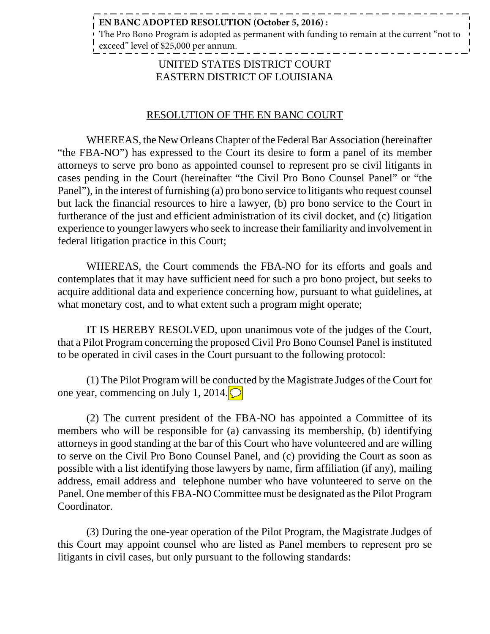## **EN BANC ADOPTED RESOLUTION (October 5, 2016) :**

The Pro Bono Program is adopted as permanent with funding to remain at the current "not to exceed" level of \$25,000 per annum.

\_ \_ \_ \_ \_ \_ \_ \_ \_ \_

## UNITED STATES DISTRICT COURT EASTERN DISTRICT OF LOUISIANA

## RESOLUTION OF THE EN BANC COURT

WHEREAS, the New Orleans Chapter of the Federal Bar Association (hereinafter "the FBA-NO") has expressed to the Court its desire to form a panel of its member attorneys to serve pro bono as appointed counsel to represent pro se civil litigants in cases pending in the Court (hereinafter "the Civil Pro Bono Counsel Panel" or "the Panel"), in the interest of furnishing (a) pro bono service to litigants who request counsel but lack the financial resources to hire a lawyer, (b) pro bono service to the Court in furtherance of the just and efficient administration of its civil docket, and (c) litigation experience to younger lawyers who seek to increase their familiarity and involvement in federal litigation practice in this Court;

WHEREAS, the Court commends the FBA-NO for its efforts and goals and contemplates that it may have sufficient need for such a pro bono project, but seeks to acquire additional data and experience concerning how, pursuant to what guidelines, at what monetary cost, and to what extent such a program might operate;

IT IS HEREBY RESOLVED, upon unanimous vote of the judges of the Court, that a Pilot Program concerning the proposed Civil Pro Bono Counsel Panel is instituted to be operated in civil cases in the Court pursuant to the following protocol:

(1) The Pilot Program will be conducted by the Magistrate Judges of the Court for one year, commencing on July 1, 2014.

(2) The current president of the FBA-NO has appointed a Committee of its members who will be responsible for (a) canvassing its membership, (b) identifying attorneys in good standing at the bar of this Court who have volunteered and are willing to serve on the Civil Pro Bono Counsel Panel, and (c) providing the Court as soon as possible with a list identifying those lawyers by name, firm affiliation (if any), mailing address, email address and telephone number who have volunteered to serve on the Panel. One member of this FBA-NO Committee must be designated as the Pilot Program Coordinator.

(3) During the one-year operation of the Pilot Program, the Magistrate Judges of this Court may appoint counsel who are listed as Panel members to represent pro se litigants in civil cases, but only pursuant to the following standards: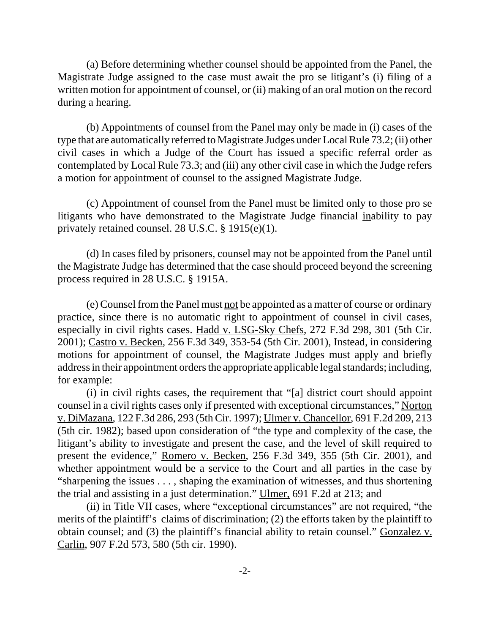(a) Before determining whether counsel should be appointed from the Panel, the Magistrate Judge assigned to the case must await the pro se litigant's (i) filing of a written motion for appointment of counsel, or (ii) making of an oral motion on the record during a hearing.

(b) Appointments of counsel from the Panel may only be made in (i) cases of the type that are automatically referred to Magistrate Judges under Local Rule 73.2; (ii) other civil cases in which a Judge of the Court has issued a specific referral order as contemplated by Local Rule 73.3; and (iii) any other civil case in which the Judge refers a motion for appointment of counsel to the assigned Magistrate Judge.

(c) Appointment of counsel from the Panel must be limited only to those pro se litigants who have demonstrated to the Magistrate Judge financial inability to pay privately retained counsel. 28 U.S.C. § 1915(e)(1).

(d) In cases filed by prisoners, counsel may not be appointed from the Panel until the Magistrate Judge has determined that the case should proceed beyond the screening process required in 28 U.S.C. § 1915A.

(e) Counsel from the Panel must not be appointed as a matter of course or ordinary practice, since there is no automatic right to appointment of counsel in civil cases, especially in civil rights cases. Hadd v. LSG-Sky Chefs, 272 F.3d 298, 301 (5th Cir. 2001); Castro v. Becken, 256 F.3d 349, 353-54 (5th Cir. 2001), Instead, in considering motions for appointment of counsel, the Magistrate Judges must apply and briefly address in their appointment orders the appropriate applicable legal standards; including, for example:

(i) in civil rights cases, the requirement that "[a] district court should appoint counsel in a civil rights cases only if presented with exceptional circumstances," Norton v. DiMazana, 122 F.3d 286, 293 (5th Cir. 1997); Ulmer v. Chancellor, 691 F.2d 209, 213 (5th cir. 1982); based upon consideration of "the type and complexity of the case, the litigant's ability to investigate and present the case, and the level of skill required to present the evidence," Romero v. Becken, 256 F.3d 349, 355 (5th Cir. 2001), and whether appointment would be a service to the Court and all parties in the case by "sharpening the issues . . . , shaping the examination of witnesses, and thus shortening the trial and assisting in a just determination." Ulmer, 691 F.2d at 213; and

(ii) in Title VII cases, where "exceptional circumstances" are not required, "the merits of the plaintiff's claims of discrimination; (2) the efforts taken by the plaintiff to obtain counsel; and (3) the plaintiff's financial ability to retain counsel." Gonzalez v. Carlin, 907 F.2d 573, 580 (5th cir. 1990).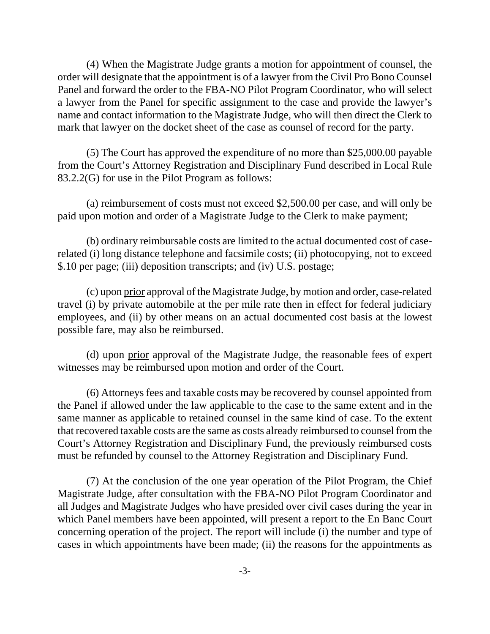(4) When the Magistrate Judge grants a motion for appointment of counsel, the order will designate that the appointment is of a lawyer from the Civil Pro Bono Counsel Panel and forward the order to the FBA-NO Pilot Program Coordinator, who will select a lawyer from the Panel for specific assignment to the case and provide the lawyer's name and contact information to the Magistrate Judge, who will then direct the Clerk to mark that lawyer on the docket sheet of the case as counsel of record for the party.

(5) The Court has approved the expenditure of no more than \$25,000.00 payable from the Court's Attorney Registration and Disciplinary Fund described in Local Rule 83.2.2(G) for use in the Pilot Program as follows:

(a) reimbursement of costs must not exceed \$2,500.00 per case, and will only be paid upon motion and order of a Magistrate Judge to the Clerk to make payment;

(b) ordinary reimbursable costs are limited to the actual documented cost of caserelated (i) long distance telephone and facsimile costs; (ii) photocopying, not to exceed \$.10 per page; (iii) deposition transcripts; and (iv) U.S. postage;

(c) upon prior approval of the Magistrate Judge, by motion and order, case-related travel (i) by private automobile at the per mile rate then in effect for federal judiciary employees, and (ii) by other means on an actual documented cost basis at the lowest possible fare, may also be reimbursed.

(d) upon prior approval of the Magistrate Judge, the reasonable fees of expert witnesses may be reimbursed upon motion and order of the Court.

(6) Attorneys fees and taxable costs may be recovered by counsel appointed from the Panel if allowed under the law applicable to the case to the same extent and in the same manner as applicable to retained counsel in the same kind of case. To the extent that recovered taxable costs are the same as costs already reimbursed to counsel from the Court's Attorney Registration and Disciplinary Fund, the previously reimbursed costs must be refunded by counsel to the Attorney Registration and Disciplinary Fund.

(7) At the conclusion of the one year operation of the Pilot Program, the Chief Magistrate Judge, after consultation with the FBA-NO Pilot Program Coordinator and all Judges and Magistrate Judges who have presided over civil cases during the year in which Panel members have been appointed, will present a report to the En Banc Court concerning operation of the project. The report will include (i) the number and type of cases in which appointments have been made; (ii) the reasons for the appointments as